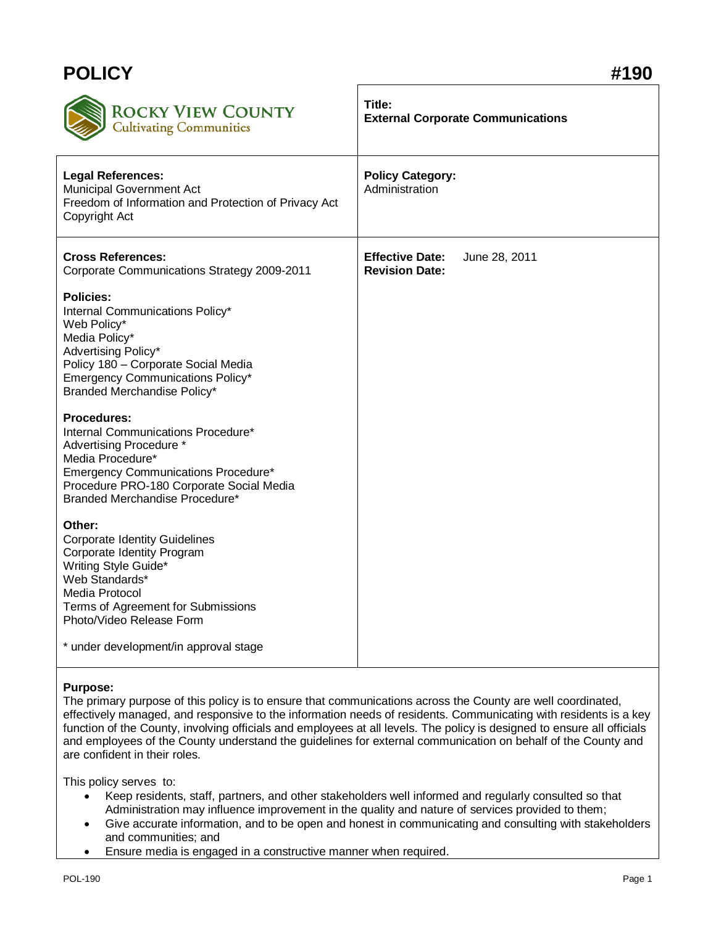| <b>POLICY</b>                                                                                                                                                                                                                       | #190                                                             |
|-------------------------------------------------------------------------------------------------------------------------------------------------------------------------------------------------------------------------------------|------------------------------------------------------------------|
| <b>ROCKY VIEW COUNTY</b><br>Cultivating Communities                                                                                                                                                                                 | Title:<br><b>External Corporate Communications</b>               |
| <b>Legal References:</b><br>Municipal Government Act<br>Freedom of Information and Protection of Privacy Act<br>Copyright Act                                                                                                       | <b>Policy Category:</b><br>Administration                        |
| <b>Cross References:</b><br>Corporate Communications Strategy 2009-2011                                                                                                                                                             | <b>Effective Date:</b><br>June 28, 2011<br><b>Revision Date:</b> |
| <b>Policies:</b><br>Internal Communications Policy*<br>Web Policy*<br>Media Policy*<br>Advertising Policy*<br>Policy 180 - Corporate Social Media<br><b>Emergency Communications Policy*</b><br>Branded Merchandise Policy*         |                                                                  |
| <b>Procedures:</b><br>Internal Communications Procedure*<br>Advertising Procedure *<br>Media Procedure*<br><b>Emergency Communications Procedure*</b><br>Procedure PRO-180 Corporate Social Media<br>Branded Merchandise Procedure* |                                                                  |
| Other:<br><b>Corporate Identity Guidelines</b><br>Corporate Identity Program<br>Writing Style Guide*<br>Web Standards*<br>Media Protocol<br>Terms of Agreement for Submissions<br>Photo/Video Release Form                          |                                                                  |
| * under development/in approval stage                                                                                                                                                                                               |                                                                  |

## **Purpose:**

The primary purpose of this policy is to ensure that communications across the County are well coordinated, effectively managed, and responsive to the information needs of residents. Communicating with residents is a key function of the County, involving officials and employees at all levels. The policy is designed to ensure all officials and employees of the County understand the guidelines for external communication on behalf of the County and are confident in their roles.

This policy serves to:

- Keep residents, staff, partners, and other stakeholders well informed and regularly consulted so that Administration may influence improvement in the quality and nature of services provided to them;
- Give accurate information, and to be open and honest in communicating and consulting with stakeholders and communities; and
- Ensure media is engaged in a constructive manner when required.